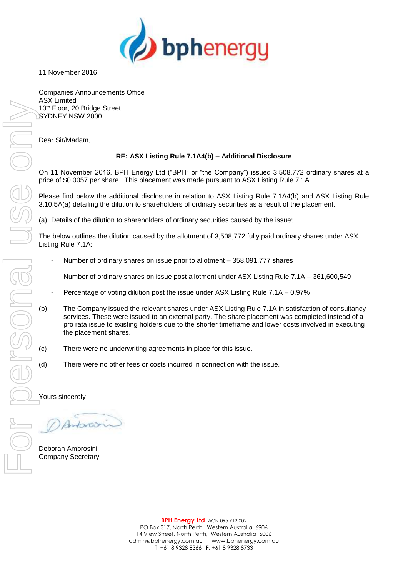

11 November 2016

Companies Announcements Office ASX Limited 10th Floor, 20 Bridge Street SYDNEY NSW 2000

Dear Sir/Madam,

#### **RE: ASX Listing Rule 7.1A4(b) – Additional Disclosure**

On 11 November 2016, BPH Energy Ltd ("BPH" or "the Company") issued 3,508,772 ordinary shares at a price of \$0.0057 per share. This placement was made pursuant to ASX Listing Rule 7.1A.

Please find below the additional disclosure in relation to ASX Listing Rule 7.1A4(b) and ASX Listing Rule 3.10.5A(a) detailing the dilution to shareholders of ordinary securities as a result of the placement.

(a) Details of the dilution to shareholders of ordinary securities caused by the issue;

The below outlines the dilution caused by the allotment of 3,508,772 fully paid ordinary shares under ASX Listing Rule 7.1A:

- Number of ordinary shares on issue prior to allotment 358,091,777 shares
- Number of ordinary shares on issue post allotment under ASX Listing Rule 7.1A 361,600,549
- Percentage of voting dilution post the issue under ASX Listing Rule 7.1A 0.97%
- (b) The Company issued the relevant shares under ASX Listing Rule 7.1A in satisfaction of consultancy services. These were issued to an external party. The share placement was completed instead of a pro rata issue to existing holders due to the shorter timeframe and lower costs involved in executing the placement shares.
- (c) There were no underwriting agreements in place for this issue.
- (d) There were no other fees or costs incurred in connection with the issue.

Yours sincerely

Deborah Ambrosini

**BPH Energy Ltd** ACN 095 912 002 PO Box 317, North Perth, Western Australia 6906 14 View Street, North Perth, Western Australia 6006 admin@bphenergy.com.au www.bphenergy.com.au T: +61 8 9328 8366 F: +61 8 9328 8733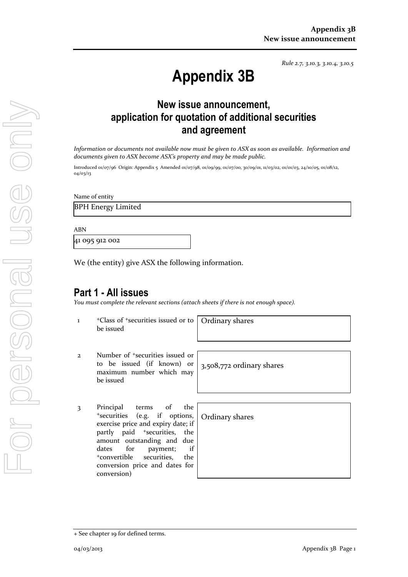*Rule 2.7, 3.10.3, 3.10.4, 3.10.5*

# **Appendix 3B**

## **New issue announcement, application for quotation of additional securities and agreement**

*Information or documents not available now must be given to ASX as soon as available. Information and documents given to ASX become ASX's property and may be made public.*

Introduced 01/07/96 Origin: Appendix 5 Amended 01/07/98, 01/09/99, 01/07/00, 30/09/01, 11/03/02, 01/01/03, 24/10/05, 01/08/12, 04/03/13

Name of entity

BPH Energy Limited

ABN

41 095 912 002

We (the entity) give ASX the following information.

### **Part 1 - All issues**

*You must complete the relevant sections (attach sheets if there is not enough space).*

1 <sup>+</sup>Class of +securities issued or to be issued

Ordinary shares

2 Number of +securities issued or to be issued (if known) or maximum number which may be issued

3 Principal terms of the <sup>+</sup>securities (e.g. if options, exercise price and expiry date; if partly paid <sup>+</sup>securities, the amount outstanding and due dates for payment; if <sup>+</sup>convertible securities, the conversion price and dates for conversion)

3,508,772 ordinary shares

Ordinary shares

+ See chapter 19 for defined terms.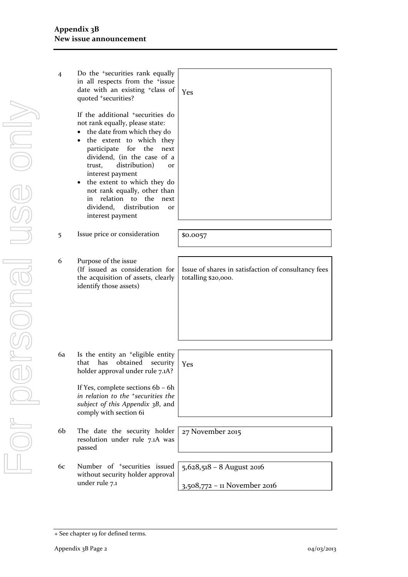| 4  | Do the <sup>+</sup> securities rank equally<br>in all respects from the <sup>+</sup> issue<br>date with an existing <sup>+</sup> class of<br>quoted +securities?                                                                                                     |
|----|----------------------------------------------------------------------------------------------------------------------------------------------------------------------------------------------------------------------------------------------------------------------|
|    | If the additional +securities do<br>not rank equally, please state:<br>the date from which they do<br>to which<br>they<br>the extent<br>for<br>participate<br>the<br>next<br>dividend, (in the case of a<br>distribution)<br>trust,<br><b>Or</b><br>interest payment |
|    | the extent to which they do<br>not rank equally, other than<br>relation to the<br>next<br>in<br>dividend, distribution<br>$\alpha$ r<br>interest payment                                                                                                             |
| 5  | Issue price or consideration                                                                                                                                                                                                                                         |
| 6  | Purpose of the issue<br>(If issued as consideration for<br>the acquisition of assets, clearly<br>identify those assets)                                                                                                                                              |
|    |                                                                                                                                                                                                                                                                      |
| 6a | Is the entity an <sup>+</sup> eligible entity<br>that<br>obtained<br>has<br>security<br>holder approval under rule 7.1A?                                                                                                                                             |
|    | If Yes, complete sections 6b - 6h<br>in relation to the <sup>+</sup> securities the<br>subject of this Appendix 3B, and<br>comply with section 6i                                                                                                                    |
| 6b | The date the security holder<br>resolution under rule 7.1A was<br>passed                                                                                                                                                                                             |
| 6с | Number of <sup>+</sup> securities<br>issued<br>without security holder approval<br>undor rulo = 1                                                                                                                                                                    |



 $1 \t 50.0057$ 

Issue of shares in satisfaction of consultancy fees totalling \$20,000.

- nolder A was
- issued proval under rule 7.1

Yes

27 November 2015

5,628,518 – 8 August 2016

3,508,772 – 11 November 2016

<sup>+</sup> See chapter 19 for defined terms.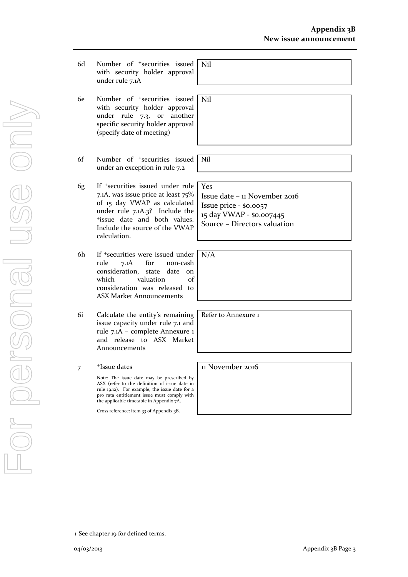- 6d Number of +securities issued with security holder approval under rule 7.1A Nil
- 6e Number of +securities issued with security holder approval under rule 7.3, or another specific security holder approval (specify date of meeting)
- 6f Number of +securities issued under an exception in rule 7.2
- 6g If +securities issued under rule 7.1A, was issue price at least 75% of 15 day VWAP as calculated under rule 7.1A.3? Include the <sup>+</sup>issue date and both values. Include the source of the VWAP calculation.
- 6h If +securities were issued under rule 7.1A for non-cash consideration, state date on which valuation of consideration was released to ASX Market Announcements
- 6i Calculate the entity's remaining issue capacity under rule 7.1 and rule 7.1A – complete Annexure 1 and release to ASX Market Announcements
- 7 <sup>+</sup>Issue dates

Note: The issue date may be prescribed by ASX (refer to the definition of issue date in rule 19.12). For example, the issue date for a pro rata entitlement issue must comply with the applicable timetable in Appendix 7A.

Cross reference: item 33 of Appendix 3B.

Nil

Nil

Yes Issue date – 11 November 2016 Issue price - \$0.0057 15 day VWAP - \$0.007445 Source – Directors valuation

N/A

Refer to Annexure 1

11 November 2016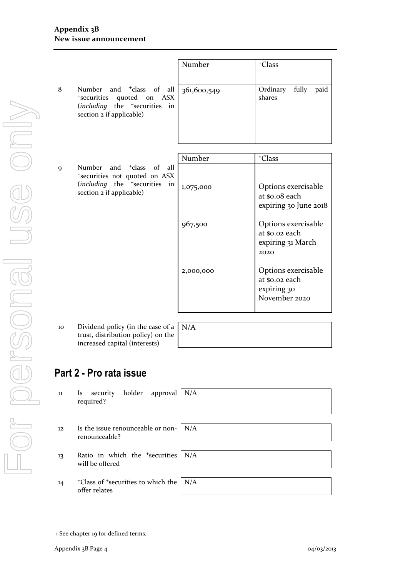|   |                                                                                                                                                         | Number | <sup>+</sup> Class                  |
|---|---------------------------------------------------------------------------------------------------------------------------------------------------------|--------|-------------------------------------|
| 8 | Number and $\frac{1}{2}$ class of all 361,600,549<br>*securities quoted on ASX<br>(including the <sup>+</sup> securities in<br>section 2 if applicable) |        | fully<br>Ordinary<br>paid<br>shares |

|   |                                                                                                                                                        | Number    | <sup>+</sup> Class                                                    |
|---|--------------------------------------------------------------------------------------------------------------------------------------------------------|-----------|-----------------------------------------------------------------------|
| 9 | Number and <sup>+</sup> class of all<br>*securities not quoted on ASX<br>( <i>including</i> the <sup>+</sup> securities in<br>section 2 if applicable) | 1,075,000 | Options exercisable<br>at so.o8 each<br>expiring 30 June 2018         |
|   |                                                                                                                                                        | 967,500   | Options exercisable<br>at so.o2 each<br>expiring 31 March<br>2020     |
|   |                                                                                                                                                        | 2,000,000 | Options exercisable<br>at \$0.02 each<br>expiring 30<br>November 2020 |

- 10 Dividend policy (in the case of a trust, distribution policy) on the increased capital (interests)
- 

# N/A

## **Part 2 - Pro rata issue**

| 11 | holder approval $N/A$<br>security<br>Is.<br>required?                 |  |
|----|-----------------------------------------------------------------------|--|
|    |                                                                       |  |
| 12 | Is the issue renounceable or non- $\mid N/A \rangle$<br>renounceable? |  |
|    |                                                                       |  |
| 13 | Ratio in which the $\pm$ securities $N/A$<br>will be offered          |  |
|    |                                                                       |  |
| 14 | $\pm$ Class of $\pm$ securities to which the   N/A<br>offer relates   |  |
|    |                                                                       |  |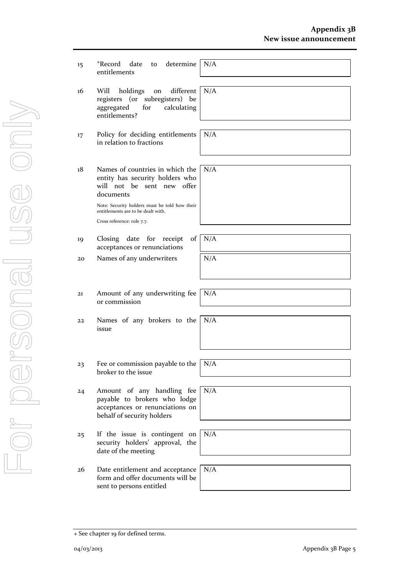| 15 | determine<br><sup>+</sup> Record<br>date<br>to<br>entitlements | N/A |
|----|----------------------------------------------------------------|-----|
|    |                                                                |     |
| 16 | different<br>Will<br>holdings<br>on                            | N/A |
|    | registers (or subregisters) be                                 |     |
|    | aggregated<br>for<br>calculating                               |     |
|    | entitlements?                                                  |     |
|    |                                                                |     |
| 17 | Policy for deciding entitlements                               | N/A |
|    | in relation to fractions                                       |     |
|    |                                                                |     |
|    |                                                                |     |
| 18 | Names of countries in which the                                | N/A |
|    | entity has security holders who                                |     |
|    | will not be sent new offer                                     |     |
|    | documents                                                      |     |
|    | Note: Security holders must be told how their                  |     |
|    | entitlements are to be dealt with.                             |     |
|    | Cross reference: rule 7.7.                                     |     |
|    |                                                                |     |
| 19 | date for receipt<br>of<br>Closing                              | N/A |
|    | acceptances or renunciations                                   |     |
| 20 | Names of any underwriters                                      | N/A |
|    |                                                                |     |
|    |                                                                |     |
|    |                                                                |     |
| 21 | Amount of any underwriting fee                                 | N/A |
|    | or commission                                                  |     |
|    |                                                                |     |
| 22 | Names of any brokers to the<br>issue                           | N/A |
|    |                                                                |     |
|    |                                                                |     |
|    |                                                                |     |
| 23 | Fee or commission payable to the $\mid N/A \rangle$            |     |
|    | broker to the issue                                            |     |
|    |                                                                |     |
| 24 | Amount of any handling fee                                     | N/A |
|    | payable to brokers who lodge                                   |     |
|    | acceptances or renunciations on                                |     |
|    | behalf of security holders                                     |     |
|    |                                                                |     |
| 25 | If the issue is contingent on                                  | N/A |
|    | security holders' approval, the                                |     |
|    | date of the meeting                                            |     |
|    |                                                                |     |
| 26 | Date entitlement and acceptance                                | N/A |
|    | form and offer documents will be                               |     |
|    | sent to persons entitled                                       |     |
|    |                                                                |     |

<sup>+</sup> See chapter 19 for defined terms.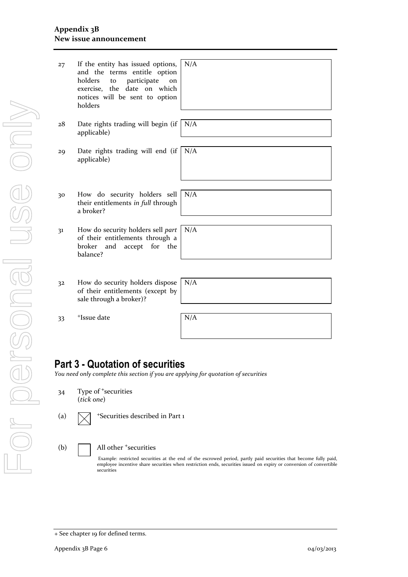#### **Appendix 3B New issue announcement**

| 27 | If the entity has issued options,<br>and the terms entitle option<br>holders<br>participate<br>to<br>on<br>exercise, the date on which<br>notices will be sent to option<br>holders | N/A |
|----|-------------------------------------------------------------------------------------------------------------------------------------------------------------------------------------|-----|
| 28 | Date rights trading will begin (if<br>applicable)                                                                                                                                   | N/A |
| 29 | Date rights trading will end $(ii)$<br>applicable)                                                                                                                                  | N/A |
| 30 | How do security holders sell<br>their entitlements in full through<br>a broker?                                                                                                     | N/A |
| 31 | How do security holders sell part<br>of their entitlements through a<br>broker<br>and accept for the<br>balance?                                                                    | N/A |
|    |                                                                                                                                                                                     |     |
| 32 | How do security holders dispose<br>of their entitlements (except by<br>sale through a broker)?                                                                                      | N/A |
| 33 | <sup>+</sup> Issue date                                                                                                                                                             | N/A |

## **Part 3 - Quotation of securities**

*You need only complete this section if you are applying for quotation of securities*

- 34 Type of <sup>+</sup>securities (*tick one*)
- (a)  $\sqrt{\phantom{a}}$  +Securities described in Part 1

#### (b) All other <sup>+</sup>securities

Example: restricted securities at the end of the escrowed period, partly paid securities that become fully paid, employee incentive share securities when restriction ends, securities issued on expiry or conversion of convertible securities

<sup>+</sup> See chapter 19 for defined terms.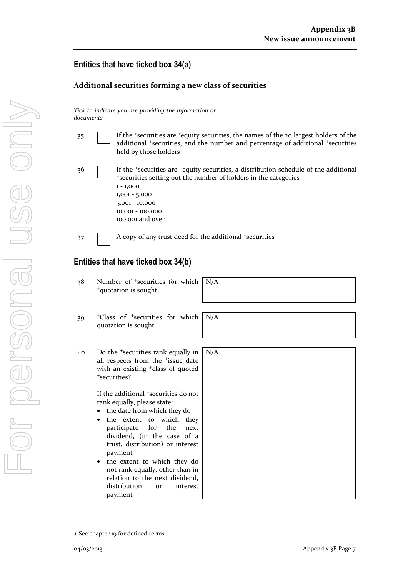#### **Entities that have ticked box 34(a)**

*Tick to indicate you are providing the information or* 

#### **Additional securities forming a new class of securities**

| documents                           |  |                                                                                                                                                                                                                                                       |
|-------------------------------------|--|-------------------------------------------------------------------------------------------------------------------------------------------------------------------------------------------------------------------------------------------------------|
| 35                                  |  | If the 'securities are 'equity securities, the names of the 20 largest holders of the<br>additional <sup>+</sup> securities, and the number and percentage of additional <sup>+</sup> securities<br>held by those holders                             |
| 36                                  |  | If the *securities are *equity securities, a distribution schedule of the additional<br>*securities setting out the number of holders in the categories<br>$1 - 1,000$<br>$1,001 - 5,000$<br>$5,001 - 10,000$<br>10,001 - 100,000<br>100,001 and over |
| 37                                  |  | A copy of any trust deed for the additional +securities                                                                                                                                                                                               |
| Entities that have ticked box 34(b) |  |                                                                                                                                                                                                                                                       |
| 38                                  |  | Number of <sup>+</sup> securities for which<br>N/A<br><sup>+</sup> quotation is sought                                                                                                                                                                |
| 39                                  |  | <sup>+</sup> Class of <sup>+</sup> securities for which<br>N/A<br>quotation is sought                                                                                                                                                                 |
| 40                                  |  | Do the <sup>+</sup> securities rank equally in<br>N/A                                                                                                                                                                                                 |

all respects from the <sup>+</sup>issue date with an existing <sup>+</sup>class of quoted <sup>+</sup>securities?

> If the additional <sup>+</sup>securities do no rank equally, please state:

- the date from which they do
- the extent to which they participate for the next dividend, (in the case of a trust, distribution) or interest payment
- the extent to which they do not rank equally, other than in relation to the next dividend, distribution or interes payment

| $\mathbf{a}$ | N/A |
|--------------|-----|
|              |     |
| e<br>1       |     |
|              |     |
|              |     |
|              |     |
| t            |     |
|              |     |
|              |     |
| Ý            |     |
| t            |     |
| a            |     |
|              |     |
| t            |     |
|              |     |
| $\mathbf{c}$ |     |
| $\mathbf{a}$ |     |
| ,            |     |
| t            |     |
|              |     |
|              |     |

<sup>+</sup> See chapter 19 for defined terms.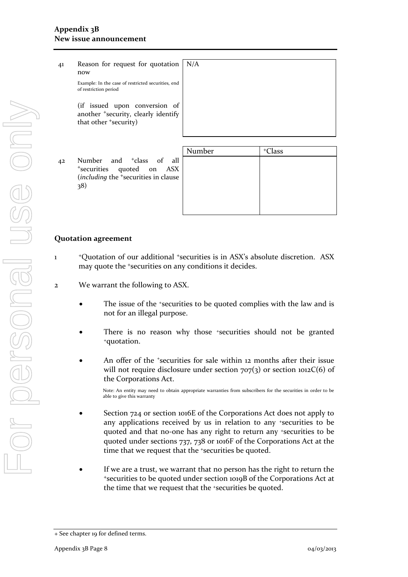41 Reason for request for quotation now N/A

Example: In the case of restricted securities, end of restriction period

(if issued upon conversion of another <sup>+</sup>security, clearly identify that other <sup>+</sup>security)

42 Number and <sup>+</sup>class of all <sup>+</sup>securities quoted on ASX (*including* the <sup>+</sup>securities in clause 38)

|   | Number | <sup>+</sup> Class |
|---|--------|--------------------|
| l |        |                    |
| r |        |                    |
| ì |        |                    |
|   |        |                    |
|   |        |                    |
|   |        |                    |
|   |        |                    |

#### **Quotation agreement**

- 1 <sup>+</sup>Quotation of our additional <sup>+</sup>securities is in ASX's absolute discretion. ASX may quote the <sup>+</sup>securities on any conditions it decides.
- 2 We warrant the following to ASX.
	- The issue of the +securities to be quoted complies with the law and is not for an illegal purpose.
	- There is no reason why those *\*securities* should not be granted <sup>+</sup>quotation.
	- An offer of the *\*securities* for sale within 12 months after their issue will not require disclosure under section  $707(3)$  or section 1012C(6) of the Corporations Act.

Note: An entity may need to obtain appropriate warranties from subscribers for the securities in order to be able to give this warranty

- Section 724 or section 1016E of the Corporations Act does not apply to any applications received by us in relation to any +securities to be quoted and that no-one has any right to return any +securities to be quoted under sections 737, 738 or 1016F of the Corporations Act at the time that we request that the +securities be quoted.
- If we are a trust, we warrant that no person has the right to return the <sup>+</sup>securities to be quoted under section 1019B of the Corporations Act at the time that we request that the +securities be quoted.

<sup>+</sup> See chapter 19 for defined terms.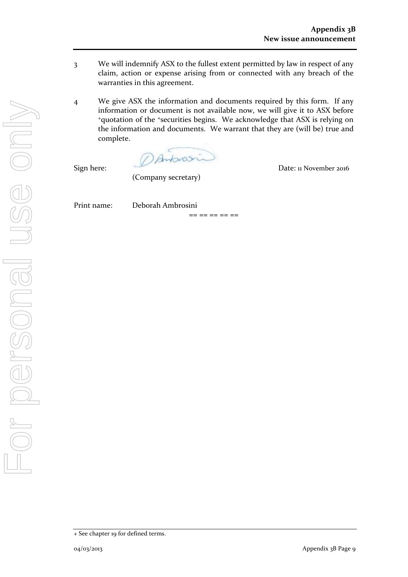- 3 We will indemnify ASX to the fullest extent permitted by law in respect of any claim, action or expense arising from or connected with any breach of the warranties in this agreement.
- 4 We give ASX the information and documents required by this form. If any information or document is not available now, we will give it to ASX before <sup>+</sup>quotation of the <sup>+</sup>securities begins. We acknowledge that ASX is relying on the information and documents. We warrant that they are (will be) true and complete.

DAnbrosi

Sign here: Date: 11 November 2016

(Company secretary)

Print name: Deborah Ambrosini

== == == == ==

For personal use only For personal use onl

<sup>+</sup> See chapter 19 for defined terms.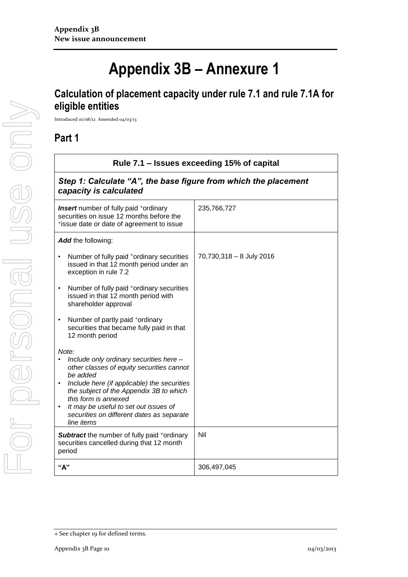## **Appendix 3B – Annexure 1**

## **Calculation of placement capacity under rule 7.1 and rule 7.1A for eligible entities**

Introduced 01/08/12 Amended 04/03/13

## **Part 1**

| Rule 7.1 – Issues exceeding 15% of capital                                                                                                                                                                                                                                                                                      |                          |  |
|---------------------------------------------------------------------------------------------------------------------------------------------------------------------------------------------------------------------------------------------------------------------------------------------------------------------------------|--------------------------|--|
| Step 1: Calculate "A", the base figure from which the placement<br>capacity is calculated                                                                                                                                                                                                                                       |                          |  |
| <b>Insert</b> number of fully paid <sup>+</sup> ordinary<br>securities on issue 12 months before the<br>*issue date or date of agreement to issue                                                                                                                                                                               | 235,766,727              |  |
| Add the following:                                                                                                                                                                                                                                                                                                              |                          |  |
| Number of fully paid <sup>+</sup> ordinary securities<br>issued in that 12 month period under an<br>exception in rule 7.2                                                                                                                                                                                                       | 70,730,318 - 8 July 2016 |  |
| Number of fully paid <sup>+</sup> ordinary securities<br>issued in that 12 month period with<br>shareholder approval                                                                                                                                                                                                            |                          |  |
| Number of partly paid +ordinary<br>$\bullet$<br>securities that became fully paid in that<br>12 month period                                                                                                                                                                                                                    |                          |  |
| Note:<br>Include only ordinary securities here -<br>other classes of equity securities cannot<br>be added<br>Include here (if applicable) the securities<br>the subject of the Appendix 3B to which<br>this form is annexed<br>It may be useful to set out issues of<br>securities on different dates as separate<br>line items |                          |  |
| <b>Subtract</b> the number of fully paid +ordinary<br>securities cancelled during that 12 month<br>period                                                                                                                                                                                                                       | Nil                      |  |
| "А"                                                                                                                                                                                                                                                                                                                             | 306,497,045              |  |

<sup>+</sup> See chapter 19 for defined terms.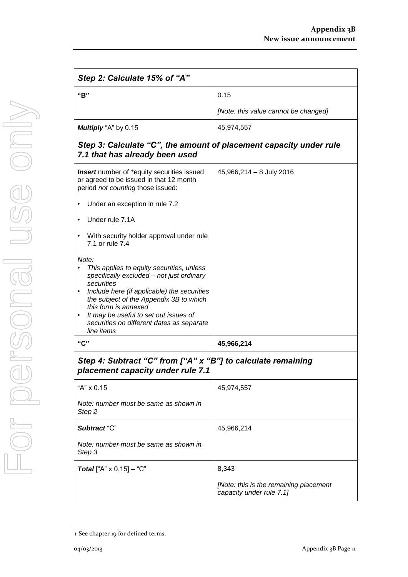| Step 2: Calculate 15% of "A"                                                                                                                                                                                                                                                                                                        |                                        |  |
|-------------------------------------------------------------------------------------------------------------------------------------------------------------------------------------------------------------------------------------------------------------------------------------------------------------------------------------|----------------------------------------|--|
| "B"                                                                                                                                                                                                                                                                                                                                 | 0.15                                   |  |
|                                                                                                                                                                                                                                                                                                                                     | [Note: this value cannot be changed]   |  |
| Multiply "A" by 0.15                                                                                                                                                                                                                                                                                                                | 45,974,557                             |  |
| Step 3: Calculate "C", the amount of placement capacity under rule<br>7.1 that has already been used                                                                                                                                                                                                                                |                                        |  |
| <b>Insert</b> number of <sup>+</sup> equity securities issued<br>or agreed to be issued in that 12 month<br>period not counting those issued:                                                                                                                                                                                       | 45,966,214 - 8 July 2016               |  |
| Under an exception in rule 7.2                                                                                                                                                                                                                                                                                                      |                                        |  |
| Under rule 7.1A                                                                                                                                                                                                                                                                                                                     |                                        |  |
| With security holder approval under rule<br>7.1 or rule 7.4                                                                                                                                                                                                                                                                         |                                        |  |
| Note:<br>This applies to equity securities, unless<br>specifically excluded - not just ordinary<br>securities<br>Include here (if applicable) the securities<br>the subject of the Appendix 3B to which<br>this form is annexed<br>It may be useful to set out issues of<br>securities on different dates as separate<br>line items |                                        |  |
| "C"                                                                                                                                                                                                                                                                                                                                 | 45,966,214                             |  |
| Step 4: Subtract "C" from ["A" x "B"] to calculate remaining<br>placement capacity under rule 7.1                                                                                                                                                                                                                                   |                                        |  |
| "A" x 0.15                                                                                                                                                                                                                                                                                                                          | 45,974,557                             |  |
| Note: number must be same as shown in<br>Step <sub>2</sub>                                                                                                                                                                                                                                                                          |                                        |  |
| Subtract "C"                                                                                                                                                                                                                                                                                                                        | 45,966,214                             |  |
| Note: number must be same as shown in<br>Step 3                                                                                                                                                                                                                                                                                     |                                        |  |
| <b>Total</b> ["A" $\times$ 0.15] – "C"                                                                                                                                                                                                                                                                                              | 8,343                                  |  |
|                                                                                                                                                                                                                                                                                                                                     | [Note: this is the remaining placement |  |

*capacity under rule 7.1]*

<sup>+</sup> See chapter 19 for defined terms.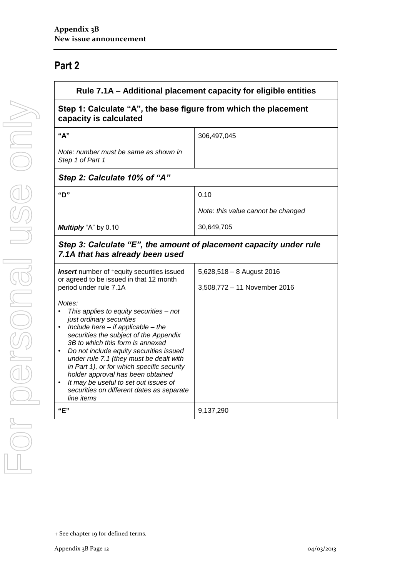## **Part 2**

| Rule 7.1A – Additional placement capacity for eligible entities                                                                                                                                                                                                                                                                                                                                                                                                                                 |                                                           |  |
|-------------------------------------------------------------------------------------------------------------------------------------------------------------------------------------------------------------------------------------------------------------------------------------------------------------------------------------------------------------------------------------------------------------------------------------------------------------------------------------------------|-----------------------------------------------------------|--|
| Step 1: Calculate "A", the base figure from which the placement<br>capacity is calculated                                                                                                                                                                                                                                                                                                                                                                                                       |                                                           |  |
| "A"                                                                                                                                                                                                                                                                                                                                                                                                                                                                                             | 306,497,045                                               |  |
| Note: number must be same as shown in<br>Step 1 of Part 1                                                                                                                                                                                                                                                                                                                                                                                                                                       |                                                           |  |
| Step 2: Calculate 10% of "A"                                                                                                                                                                                                                                                                                                                                                                                                                                                                    |                                                           |  |
| "D"                                                                                                                                                                                                                                                                                                                                                                                                                                                                                             | 0.10                                                      |  |
|                                                                                                                                                                                                                                                                                                                                                                                                                                                                                                 | Note: this value cannot be changed                        |  |
| Multiply "A" by 0.10                                                                                                                                                                                                                                                                                                                                                                                                                                                                            | 30,649,705                                                |  |
| Step 3: Calculate "E", the amount of placement capacity under rule<br>7.1A that has already been used                                                                                                                                                                                                                                                                                                                                                                                           |                                                           |  |
| <b>Insert</b> number of <sup>+</sup> equity securities issued<br>or agreed to be issued in that 12 month<br>period under rule 7.1A                                                                                                                                                                                                                                                                                                                                                              | $5,628,518-8$ August 2016<br>3,508,772 - 11 November 2016 |  |
| Notes:<br>This applies to equity securities - not<br>just ordinary securities<br>Include here $-$ if applicable $-$ the<br>$\bullet$<br>securities the subject of the Appendix<br>3B to which this form is annexed<br>Do not include equity securities issued<br>under rule 7.1 (they must be dealt with<br>in Part 1), or for which specific security<br>holder approval has been obtained<br>It may be useful to set out issues of<br>securities on different dates as separate<br>line items |                                                           |  |
| "E"                                                                                                                                                                                                                                                                                                                                                                                                                                                                                             | 9,137,290                                                 |  |

<sup>+</sup> See chapter 19 for defined terms.